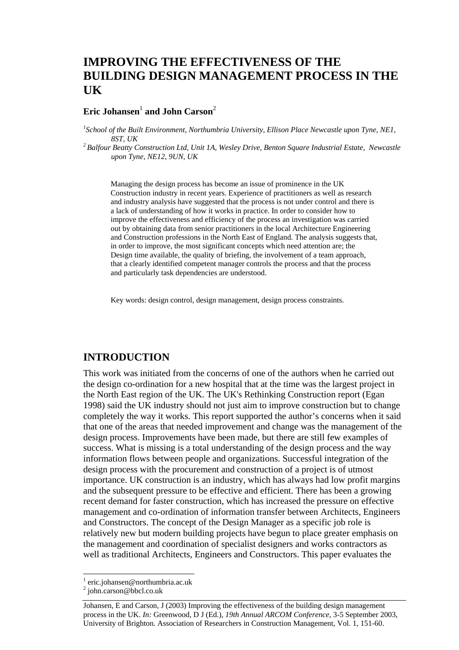## **IMPROVING THE EFFECTIVENESS OF THE BUILDING DESIGN MANAGEMENT PROCESS IN THE UK**

### $\mathbf{E}$ ric Johansen $^1$  and John  $\mathbf{C}$ arson $^2$

*1 School of the Built Environment, Northumbria University, Ellison Place Newcastle upon Tyne, NE1, 8ST, UK 2 Balfour Beatty Construction Ltd, Unit 1A, Wesley Drive, Benton Square Industrial Estate, Newcastle* 

*upon Tyne, NE12, 9UN, UK* 

Managing the design process has become an issue of prominence in the UK Construction industry in recent years. Experience of practitioners as well as research and industry analysis have suggested that the process is not under control and there is a lack of understanding of how it works in practice. In order to consider how to improve the effectiveness and efficiency of the process an investigation was carried out by obtaining data from senior practitioners in the local Architecture Engineering and Construction professions in the North East of England. The analysis suggests that, in order to improve, the most significant concepts which need attention are; the Design time available, the quality of briefing, the involvement of a team approach, that a clearly identified competent manager controls the process and that the process and particularly task dependencies are understood.

Key words: design control, design management, design process constraints.

#### **INTRODUCTION**

This work was initiated from the concerns of one of the authors when he carried out the design co-ordination for a new hospital that at the time was the largest project in the North East region of the UK. The UK's Rethinking Construction report (Egan 1998) said the UK industry should not just aim to improve construction but to change completely the way it works. This report supported the author's concerns when it said that one of the areas that needed improvement and change was the management of the design process. Improvements have been made, but there are still few examples of success. What is missing is a total understanding of the design process and the way information flows between people and organizations. Successful integration of the design process with the procurement and construction of a project is of utmost importance. UK construction is an industry, which has always had low profit margins and the subsequent pressure to be effective and efficient. There has been a growing recent demand for faster construction, which has increased the pressure on effective management and co-ordination of information transfer between Architects, Engineers and Constructors. The concept of the Design Manager as a specific job role is relatively new but modern building projects have begun to place greater emphasis on the management and coordination of specialist designers and works contractors as well as traditional Architects, Engineers and Constructors. This paper evaluates the

 $\overline{a}$ 

<sup>1</sup> eric.johansen@northumbria.ac.uk

<sup>2</sup> john.carson@bbcl.co.uk

Johansen, E and Carson, J (2003) Improving the effectiveness of the building design management process in the UK. *In:* Greenwood, D J (Ed.), *19th Annual ARCOM Conference*, 3-5 September 2003, University of Brighton. Association of Researchers in Construction Management, Vol. 1, 151-60.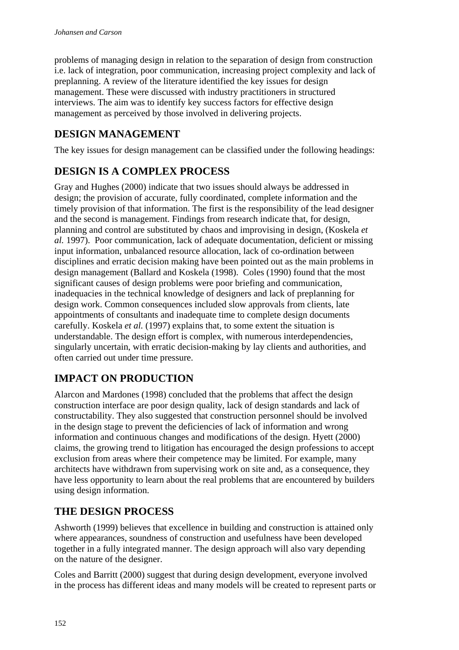problems of managing design in relation to the separation of design from construction i.e. lack of integration, poor communication, increasing project complexity and lack of preplanning. A review of the literature identified the key issues for design management. These were discussed with industry practitioners in structured interviews. The aim was to identify key success factors for effective design management as perceived by those involved in delivering projects.

## **DESIGN MANAGEMENT**

The key issues for design management can be classified under the following headings:

# **DESIGN IS A COMPLEX PROCESS**

Gray and Hughes (2000) indicate that two issues should always be addressed in design; the provision of accurate, fully coordinated, complete information and the timely provision of that information. The first is the responsibility of the lead designer and the second is management. Findings from research indicate that, for design, planning and control are substituted by chaos and improvising in design, (Koskela *et al.* 1997). Poor communication, lack of adequate documentation, deficient or missing input information, unbalanced resource allocation, lack of co-ordination between disciplines and erratic decision making have been pointed out as the main problems in design management (Ballard and Koskela (1998). Coles (1990) found that the most significant causes of design problems were poor briefing and communication, inadequacies in the technical knowledge of designers and lack of preplanning for design work. Common consequences included slow approvals from clients, late appointments of consultants and inadequate time to complete design documents carefully. Koskela *et al.* (1997) explains that, to some extent the situation is understandable. The design effort is complex, with numerous interdependencies, singularly uncertain, with erratic decision-making by lay clients and authorities, and often carried out under time pressure.

# **IMPACT ON PRODUCTION**

Alarcon and Mardones (1998) concluded that the problems that affect the design construction interface are poor design quality, lack of design standards and lack of constructability. They also suggested that construction personnel should be involved in the design stage to prevent the deficiencies of lack of information and wrong information and continuous changes and modifications of the design. Hyett (2000) claims, the growing trend to litigation has encouraged the design professions to accept exclusion from areas where their competence may be limited. For example, many architects have withdrawn from supervising work on site and, as a consequence, they have less opportunity to learn about the real problems that are encountered by builders using design information.

# **THE DESIGN PROCESS**

Ashworth (1999) believes that excellence in building and construction is attained only where appearances, soundness of construction and usefulness have been developed together in a fully integrated manner. The design approach will also vary depending on the nature of the designer.

Coles and Barritt (2000) suggest that during design development, everyone involved in the process has different ideas and many models will be created to represent parts or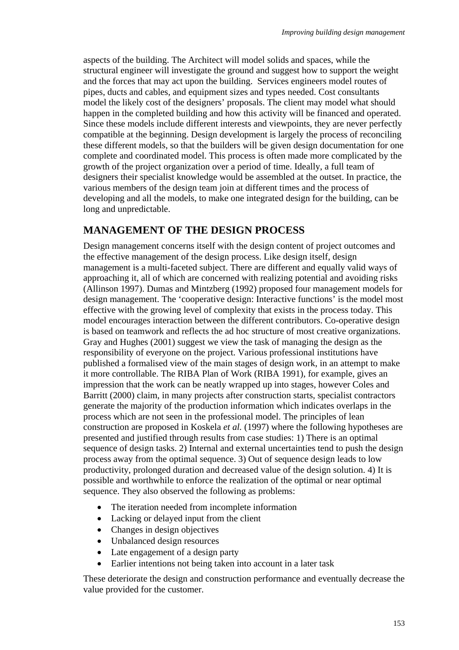aspects of the building. The Architect will model solids and spaces, while the structural engineer will investigate the ground and suggest how to support the weight and the forces that may act upon the building. Services engineers model routes of pipes, ducts and cables, and equipment sizes and types needed. Cost consultants model the likely cost of the designers' proposals. The client may model what should happen in the completed building and how this activity will be financed and operated. Since these models include different interests and viewpoints, they are never perfectly compatible at the beginning. Design development is largely the process of reconciling these different models, so that the builders will be given design documentation for one complete and coordinated model. This process is often made more complicated by the growth of the project organization over a period of time. Ideally, a full team of designers their specialist knowledge would be assembled at the outset. In practice, the various members of the design team join at different times and the process of developing and all the models, to make one integrated design for the building, can be long and unpredictable.

### **MANAGEMENT OF THE DESIGN PROCESS**

Design management concerns itself with the design content of project outcomes and the effective management of the design process. Like design itself, design management is a multi-faceted subject. There are different and equally valid ways of approaching it, all of which are concerned with realizing potential and avoiding risks (Allinson 1997). Dumas and Mintzberg (1992) proposed four management models for design management. The 'cooperative design: Interactive functions' is the model most effective with the growing level of complexity that exists in the process today. This model encourages interaction between the different contributors. Co-operative design is based on teamwork and reflects the ad hoc structure of most creative organizations. Gray and Hughes (2001) suggest we view the task of managing the design as the responsibility of everyone on the project. Various professional institutions have published a formalised view of the main stages of design work, in an attempt to make it more controllable. The RIBA Plan of Work (RIBA 1991), for example, gives an impression that the work can be neatly wrapped up into stages, however Coles and Barritt (2000) claim, in many projects after construction starts, specialist contractors generate the majority of the production information which indicates overlaps in the process which are not seen in the professional model. The principles of lean construction are proposed in Koskela *et al.* (1997) where the following hypotheses are presented and justified through results from case studies: 1) There is an optimal sequence of design tasks. 2) Internal and external uncertainties tend to push the design process away from the optimal sequence. 3) Out of sequence design leads to low productivity, prolonged duration and decreased value of the design solution. 4) It is possible and worthwhile to enforce the realization of the optimal or near optimal sequence. They also observed the following as problems:

- The iteration needed from incomplete information
- Lacking or delayed input from the client
- Changes in design objectives
- Unbalanced design resources
- Late engagement of a design party
- Earlier intentions not being taken into account in a later task

These deteriorate the design and construction performance and eventually decrease the value provided for the customer.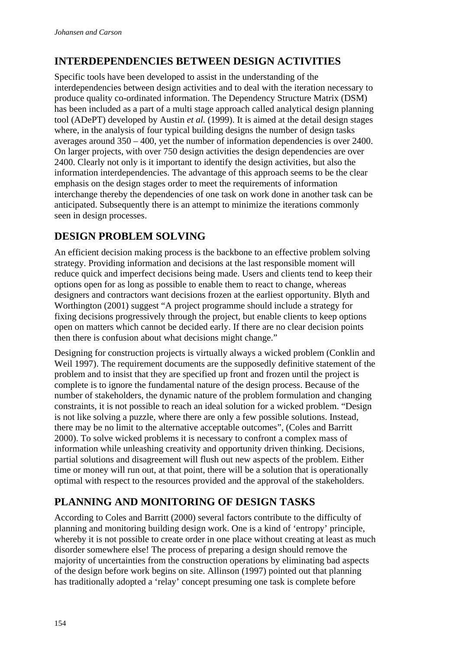## **INTERDEPENDENCIES BETWEEN DESIGN ACTIVITIES**

Specific tools have been developed to assist in the understanding of the interdependencies between design activities and to deal with the iteration necessary to produce quality co-ordinated information. The Dependency Structure Matrix (DSM) has been included as a part of a multi stage approach called analytical design planning tool (ADePT) developed by Austin *et al.* (1999). It is aimed at the detail design stages where, in the analysis of four typical building designs the number of design tasks averages around  $350 - 400$ , yet the number of information dependencies is over 2400. On larger projects, with over 750 design activities the design dependencies are over 2400. Clearly not only is it important to identify the design activities, but also the information interdependencies. The advantage of this approach seems to be the clear emphasis on the design stages order to meet the requirements of information interchange thereby the dependencies of one task on work done in another task can be anticipated. Subsequently there is an attempt to minimize the iterations commonly seen in design processes.

## **DESIGN PROBLEM SOLVING**

An efficient decision making process is the backbone to an effective problem solving strategy. Providing information and decisions at the last responsible moment will reduce quick and imperfect decisions being made. Users and clients tend to keep their options open for as long as possible to enable them to react to change, whereas designers and contractors want decisions frozen at the earliest opportunity. Blyth and Worthington (2001) suggest "A project programme should include a strategy for fixing decisions progressively through the project, but enable clients to keep options open on matters which cannot be decided early. If there are no clear decision points then there is confusion about what decisions might change."

Designing for construction projects is virtually always a wicked problem (Conklin and Weil 1997). The requirement documents are the supposedly definitive statement of the problem and to insist that they are specified up front and frozen until the project is complete is to ignore the fundamental nature of the design process. Because of the number of stakeholders, the dynamic nature of the problem formulation and changing constraints, it is not possible to reach an ideal solution for a wicked problem. "Design is not like solving a puzzle, where there are only a few possible solutions. Instead, there may be no limit to the alternative acceptable outcomes", (Coles and Barritt 2000). To solve wicked problems it is necessary to confront a complex mass of information while unleashing creativity and opportunity driven thinking. Decisions, partial solutions and disagreement will flush out new aspects of the problem. Either time or money will run out, at that point, there will be a solution that is operationally optimal with respect to the resources provided and the approval of the stakeholders.

## **PLANNING AND MONITORING OF DESIGN TASKS**

According to Coles and Barritt (2000) several factors contribute to the difficulty of planning and monitoring building design work. One is a kind of 'entropy' principle, whereby it is not possible to create order in one place without creating at least as much disorder somewhere else! The process of preparing a design should remove the majority of uncertainties from the construction operations by eliminating bad aspects of the design before work begins on site. Allinson (1997) pointed out that planning has traditionally adopted a 'relay' concept presuming one task is complete before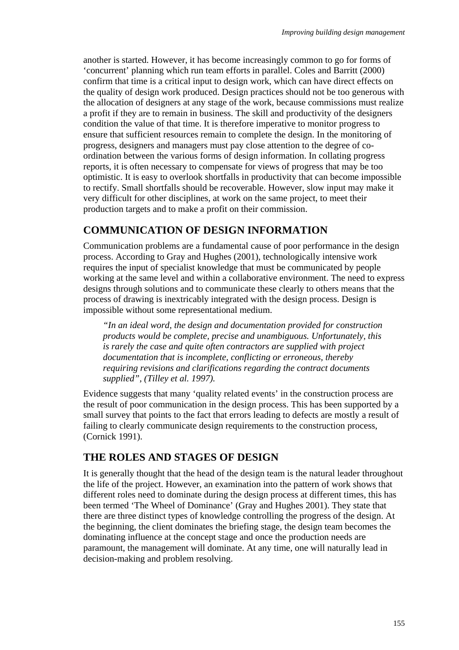another is started. However, it has become increasingly common to go for forms of 'concurrent' planning which run team efforts in parallel. Coles and Barritt (2000) confirm that time is a critical input to design work, which can have direct effects on the quality of design work produced. Design practices should not be too generous with the allocation of designers at any stage of the work, because commissions must realize a profit if they are to remain in business. The skill and productivity of the designers condition the value of that time. It is therefore imperative to monitor progress to ensure that sufficient resources remain to complete the design. In the monitoring of progress, designers and managers must pay close attention to the degree of coordination between the various forms of design information. In collating progress reports, it is often necessary to compensate for views of progress that may be too optimistic. It is easy to overlook shortfalls in productivity that can become impossible to rectify. Small shortfalls should be recoverable. However, slow input may make it very difficult for other disciplines, at work on the same project, to meet their production targets and to make a profit on their commission.

### **COMMUNICATION OF DESIGN INFORMATION**

Communication problems are a fundamental cause of poor performance in the design process. According to Gray and Hughes (2001), technologically intensive work requires the input of specialist knowledge that must be communicated by people working at the same level and within a collaborative environment. The need to express designs through solutions and to communicate these clearly to others means that the process of drawing is inextricably integrated with the design process. Design is impossible without some representational medium.

*"In an ideal word, the design and documentation provided for construction products would be complete, precise and unambiguous. Unfortunately, this is rarely the case and quite often contractors are supplied with project documentation that is incomplete, conflicting or erroneous, thereby requiring revisions and clarifications regarding the contract documents supplied", (Tilley et al. 1997).* 

Evidence suggests that many 'quality related events' in the construction process are the result of poor communication in the design process. This has been supported by a small survey that points to the fact that errors leading to defects are mostly a result of failing to clearly communicate design requirements to the construction process, (Cornick 1991).

### **THE ROLES AND STAGES OF DESIGN**

It is generally thought that the head of the design team is the natural leader throughout the life of the project. However, an examination into the pattern of work shows that different roles need to dominate during the design process at different times, this has been termed 'The Wheel of Dominance' (Gray and Hughes 2001). They state that there are three distinct types of knowledge controlling the progress of the design. At the beginning, the client dominates the briefing stage, the design team becomes the dominating influence at the concept stage and once the production needs are paramount, the management will dominate. At any time, one will naturally lead in decision-making and problem resolving.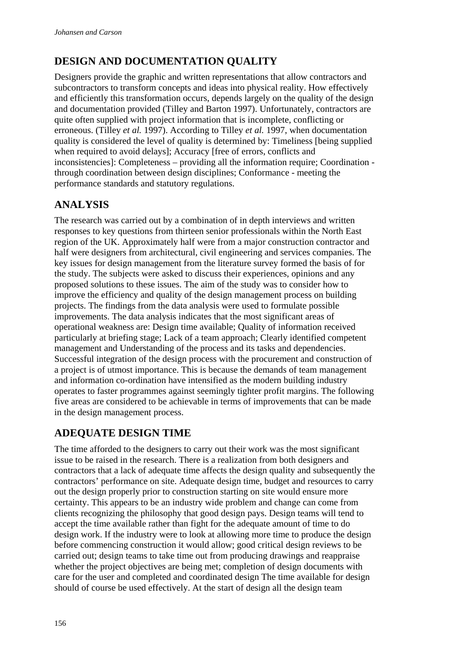# **DESIGN AND DOCUMENTATION QUALITY**

Designers provide the graphic and written representations that allow contractors and subcontractors to transform concepts and ideas into physical reality. How effectively and efficiently this transformation occurs, depends largely on the quality of the design and documentation provided (Tilley and Barton 1997). Unfortunately, contractors are quite often supplied with project information that is incomplete, conflicting or erroneous. (Tilley *et al.* 1997). According to Tilley *et al.* 1997, when documentation quality is considered the level of quality is determined by: Timeliness [being supplied when required to avoid delays]; Accuracy [free of errors, conflicts and inconsistencies]: Completeness – providing all the information require; Coordination through coordination between design disciplines; Conformance - meeting the performance standards and statutory regulations.

## **ANALYSIS**

The research was carried out by a combination of in depth interviews and written responses to key questions from thirteen senior professionals within the North East region of the UK. Approximately half were from a major construction contractor and half were designers from architectural, civil engineering and services companies. The key issues for design management from the literature survey formed the basis of for the study. The subjects were asked to discuss their experiences, opinions and any proposed solutions to these issues. The aim of the study was to consider how to improve the efficiency and quality of the design management process on building projects. The findings from the data analysis were used to formulate possible improvements. The data analysis indicates that the most significant areas of operational weakness are: Design time available; Quality of information received particularly at briefing stage; Lack of a team approach; Clearly identified competent management and Understanding of the process and its tasks and dependencies. Successful integration of the design process with the procurement and construction of a project is of utmost importance. This is because the demands of team management and information co-ordination have intensified as the modern building industry operates to faster programmes against seemingly tighter profit margins. The following five areas are considered to be achievable in terms of improvements that can be made in the design management process.

# **ADEQUATE DESIGN TIME**

The time afforded to the designers to carry out their work was the most significant issue to be raised in the research. There is a realization from both designers and contractors that a lack of adequate time affects the design quality and subsequently the contractors' performance on site. Adequate design time, budget and resources to carry out the design properly prior to construction starting on site would ensure more certainty. This appears to be an industry wide problem and change can come from clients recognizing the philosophy that good design pays. Design teams will tend to accept the time available rather than fight for the adequate amount of time to do design work. If the industry were to look at allowing more time to produce the design before commencing construction it would allow; good critical design reviews to be carried out; design teams to take time out from producing drawings and reappraise whether the project objectives are being met; completion of design documents with care for the user and completed and coordinated design The time available for design should of course be used effectively. At the start of design all the design team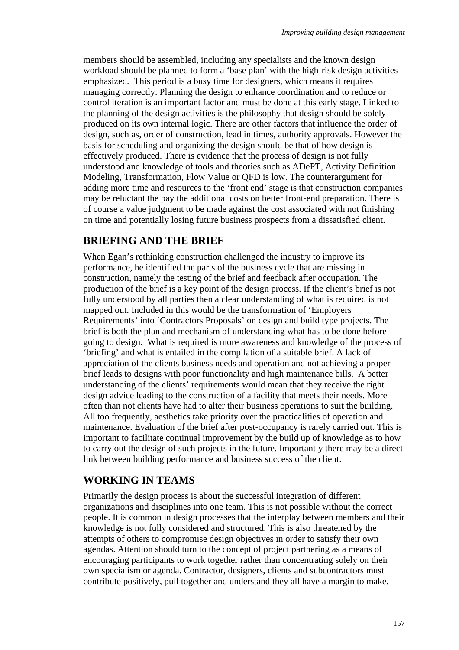members should be assembled, including any specialists and the known design workload should be planned to form a 'base plan' with the high-risk design activities emphasized. This period is a busy time for designers, which means it requires managing correctly. Planning the design to enhance coordination and to reduce or control iteration is an important factor and must be done at this early stage. Linked to the planning of the design activities is the philosophy that design should be solely produced on its own internal logic. There are other factors that influence the order of design, such as, order of construction, lead in times, authority approvals. However the basis for scheduling and organizing the design should be that of how design is effectively produced. There is evidence that the process of design is not fully understood and knowledge of tools and theories such as ADePT, Activity Definition Modeling, Transformation, Flow Value or QFD is low. The counterargument for adding more time and resources to the 'front end' stage is that construction companies may be reluctant the pay the additional costs on better front-end preparation. There is of course a value judgment to be made against the cost associated with not finishing on time and potentially losing future business prospects from a dissatisfied client.

### **BRIEFING AND THE BRIEF**

When Egan's rethinking construction challenged the industry to improve its performance, he identified the parts of the business cycle that are missing in construction, namely the testing of the brief and feedback after occupation. The production of the brief is a key point of the design process. If the client's brief is not fully understood by all parties then a clear understanding of what is required is not mapped out. Included in this would be the transformation of 'Employers Requirements' into 'Contractors Proposals' on design and build type projects. The brief is both the plan and mechanism of understanding what has to be done before going to design. What is required is more awareness and knowledge of the process of 'briefing' and what is entailed in the compilation of a suitable brief. A lack of appreciation of the clients business needs and operation and not achieving a proper brief leads to designs with poor functionality and high maintenance bills. A better understanding of the clients' requirements would mean that they receive the right design advice leading to the construction of a facility that meets their needs. More often than not clients have had to alter their business operations to suit the building. All too frequently, aesthetics take priority over the practicalities of operation and maintenance. Evaluation of the brief after post-occupancy is rarely carried out. This is important to facilitate continual improvement by the build up of knowledge as to how to carry out the design of such projects in the future. Importantly there may be a direct link between building performance and business success of the client.

### **WORKING IN TEAMS**

Primarily the design process is about the successful integration of different organizations and disciplines into one team. This is not possible without the correct people. It is common in design processes that the interplay between members and their knowledge is not fully considered and structured. This is also threatened by the attempts of others to compromise design objectives in order to satisfy their own agendas. Attention should turn to the concept of project partnering as a means of encouraging participants to work together rather than concentrating solely on their own specialism or agenda. Contractor, designers, clients and subcontractors must contribute positively, pull together and understand they all have a margin to make.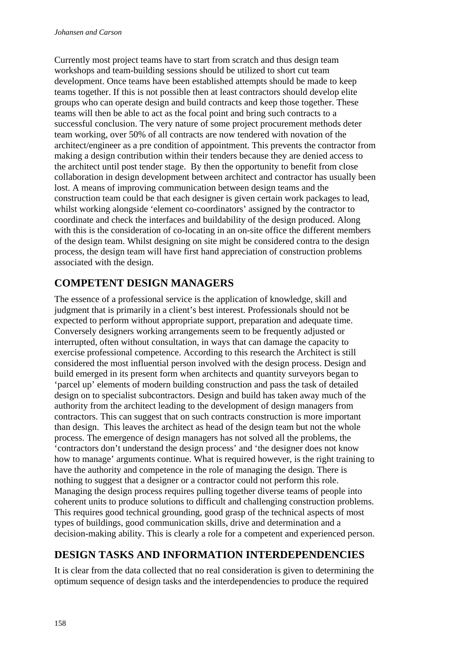Currently most project teams have to start from scratch and thus design team workshops and team-building sessions should be utilized to short cut team development. Once teams have been established attempts should be made to keep teams together. If this is not possible then at least contractors should develop elite groups who can operate design and build contracts and keep those together. These teams will then be able to act as the focal point and bring such contracts to a successful conclusion. The very nature of some project procurement methods deter team working, over 50% of all contracts are now tendered with novation of the architect/engineer as a pre condition of appointment. This prevents the contractor from making a design contribution within their tenders because they are denied access to the architect until post tender stage. By then the opportunity to benefit from close collaboration in design development between architect and contractor has usually been lost. A means of improving communication between design teams and the construction team could be that each designer is given certain work packages to lead, whilst working alongside 'element co-coordinators' assigned by the contractor to coordinate and check the interfaces and buildability of the design produced. Along with this is the consideration of co-locating in an on-site office the different members of the design team. Whilst designing on site might be considered contra to the design process, the design team will have first hand appreciation of construction problems associated with the design.

## **COMPETENT DESIGN MANAGERS**

The essence of a professional service is the application of knowledge, skill and judgment that is primarily in a client's best interest. Professionals should not be expected to perform without appropriate support, preparation and adequate time. Conversely designers working arrangements seem to be frequently adjusted or interrupted, often without consultation, in ways that can damage the capacity to exercise professional competence. According to this research the Architect is still considered the most influential person involved with the design process. Design and build emerged in its present form when architects and quantity surveyors began to 'parcel up' elements of modern building construction and pass the task of detailed design on to specialist subcontractors. Design and build has taken away much of the authority from the architect leading to the development of design managers from contractors. This can suggest that on such contracts construction is more important than design. This leaves the architect as head of the design team but not the whole process. The emergence of design managers has not solved all the problems, the 'contractors don't understand the design process' and 'the designer does not know how to manage' arguments continue. What is required however, is the right training to have the authority and competence in the role of managing the design. There is nothing to suggest that a designer or a contractor could not perform this role. Managing the design process requires pulling together diverse teams of people into coherent units to produce solutions to difficult and challenging construction problems. This requires good technical grounding, good grasp of the technical aspects of most types of buildings, good communication skills, drive and determination and a decision-making ability. This is clearly a role for a competent and experienced person.

## **DESIGN TASKS AND INFORMATION INTERDEPENDENCIES**

It is clear from the data collected that no real consideration is given to determining the optimum sequence of design tasks and the interdependencies to produce the required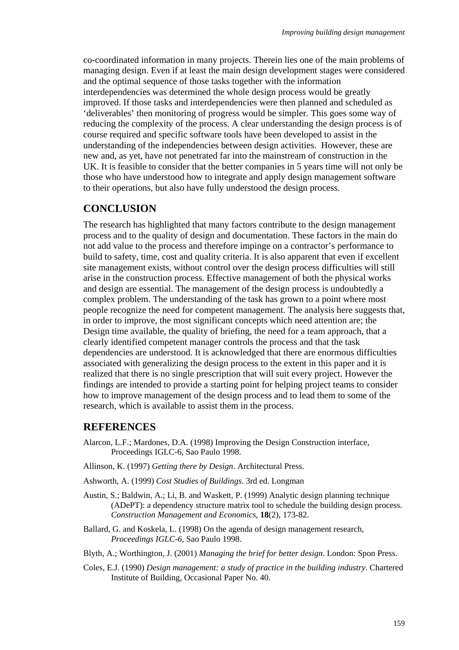co-coordinated information in many projects. Therein lies one of the main problems of managing design. Even if at least the main design development stages were considered and the optimal sequence of those tasks together with the information interdependencies was determined the whole design process would be greatly improved. If those tasks and interdependencies were then planned and scheduled as 'deliverables' then monitoring of progress would be simpler. This goes some way of reducing the complexity of the process. A clear understanding the design process is of course required and specific software tools have been developed to assist in the understanding of the independencies between design activities. However, these are new and, as yet, have not penetrated far into the mainstream of construction in the UK. It is feasible to consider that the better companies in 5 years time will not only be those who have understood how to integrate and apply design management software to their operations, but also have fully understood the design process.

### **CONCLUSION**

The research has highlighted that many factors contribute to the design management process and to the quality of design and documentation. These factors in the main do not add value to the process and therefore impinge on a contractor's performance to build to safety, time, cost and quality criteria. It is also apparent that even if excellent site management exists, without control over the design process difficulties will still arise in the construction process. Effective management of both the physical works and design are essential. The management of the design process is undoubtedly a complex problem. The understanding of the task has grown to a point where most people recognize the need for competent management. The analysis here suggests that, in order to improve, the most significant concepts which need attention are; the Design time available, the quality of briefing, the need for a team approach, that a clearly identified competent manager controls the process and that the task dependencies are understood. It is acknowledged that there are enormous difficulties associated with generalizing the design process to the extent in this paper and it is realized that there is no single prescription that will suit every project. However the findings are intended to provide a starting point for helping project teams to consider how to improve management of the design process and to lead them to some of the research, which is available to assist them in the process.

### **REFERENCES**

- Alarcon, L.F.; Mardones, D.A. (1998) Improving the Design Construction interface, Proceedings IGLC-6, Sao Paulo 1998.
- Allinson, K. (1997) *Getting there by Design*. Architectural Press.
- Ashworth, A. (1999) *Cost Studies of Buildings*. 3rd ed. Longman
- Austin, S.; Baldwin, A.; Li, B. and Waskett, P. (1999) Analytic design planning technique (ADePT): a dependency structure matrix tool to schedule the building design process. *Construction Management and Economics*, **18**(2), 173-82.
- Ballard, G. and Koskela, L. (1998) On the agenda of design management research, *Proceedings IGLC-6*, Sao Paulo 1998.
- Blyth, A.; Worthington, J. (2001) *Managing the brief for better design*. London: Spon Press.
- Coles, E.J. (1990) *Design management: a study of practice in the building industry*. Chartered Institute of Building, Occasional Paper No. 40.